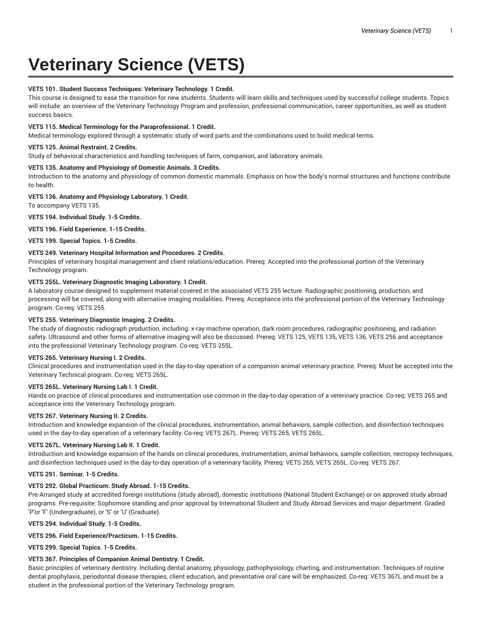# **Veterinary Science (VETS)**

## **VETS 101. Student Success Techniques: Veterinary Technology. 1 Credit.**

This course is designed to ease the transition for new students. Students will learn skills and techniques used by successful college students. Topics will include: an overview of the Veterinary Technology Program and profession, professional communication, career opportunities, as well as student success basics.

## **VETS 115. Medical Terminology for the Paraprofessional. 1 Credit.**

Medical terminology explored through a systematic study of word parts and the combinations used to build medical terms.

#### **VETS 125. Animal Restraint. 2 Credits.**

Study of behavioral characteristics and handling techniques of farm, companion, and laboratory animals.

#### **VETS 135. Anatomy and Physiology of Domestic Animals. 3 Credits.**

Introduction to the anatomy and physiology of common domestic mammals. Emphasis on how the body's normal structures and functions contribute to health.

#### **VETS 136. Anatomy and Physiology Laboratory. 1 Credit.**

To accompany VETS 135.

**VETS 194. Individual Study. 1-5 Credits.**

## **VETS 196. Field Experience. 1-15 Credits.**

**VETS 199. Special Topics. 1-5 Credits.**

## **VETS 249. Veterinary Hospital Information and Procedures. 2 Credits.**

Principles of veterinary hospital management and client relations/education. Prereq: Accepted into the professional portion of the Veterinary Technology program.

#### **VETS 255L. Veterinary Diagnostic Imaging Laboratory. 1 Credit.**

A laboratory course designed to supplement material covered in the associated VETS 255 lecture. Radiographic positioning, production, and processing will be covered, along with alternative imaging modalities. Prereq: Acceptance into the professional portion of the Veterinary Technology program. Co-req: VETS 255.

## **VETS 255. Veterinary Diagnostic Imaging. 2 Credits.**

The study of diagnostic radiograph production, including: x-ray machine operation, dark room procedures, radiographic positioning, and radiation safety. Ultrasound and other forms of alternative imaging will also be discussed. Prereq: VETS 125, VETS 135, VETS 136, VETS 256 and acceptance into the professional Veterinary Technology program. Co-req: VETS 255L.

## **VETS 265. Veterinary Nursing I. 2 Credits.**

Clinical procedures and instrumentation used in the day-to-day operation of a companion animal veterinary practice. Prereq: Must be accepted into the Veterinary Technical program. Co-req: VETS 265L.

## **VETS 265L. Veterinary Nursing Lab I. 1 Credit.**

Hands on practice of clinical procedures and instrumentation use common in the day-to-day operation of a veterinary practice. Co-req: VETS 265 and acceptance into the Veterinary Technology program.

#### **VETS 267. Veterinary Nursing II. 2 Credits.**

Introduction and knowledge expansion of the clinical procedures, instrumentation, animal behaviors, sample collection, and disinfection techniques used in the day-to-day operation of a veterinary facility. Co-req: VETS 267L. Prereq: VETS 265, VETS 265L.

## **VETS 267L. Veterinary Nursing Lab II. 1 Credit.**

Introduction and knowledge expansion of the hands on clinical procedures, instrumentation, animal behaviors, sample collection, necropsy techniques, and disinfection techniques used in the day-to-day operation of a veterinary facility. Prereq: VETS 265, VETS 265L. Co-req: VETS 267.

#### **VETS 291. Seminar. 1-5 Credits.**

## **VETS 292. Global Practicum: Study Abroad. 1-15 Credits.**

Pre-Arranged study at accredited foreign institutions (study abroad), domestic institutions (National Student Exchange) or on approved study abroad programs. Pre-requisite: Sophomore standing and prior approval by International Student and Study Abroad Services and major department. Graded 'P'or 'F' (Undergraduate), or 'S' or 'U' (Graduate).

**VETS 294. Individual Study. 1-5 Credits.**

## **VETS 296. Field Experience/Practicum. 1-15 Credits.**

**VETS 299. Special Topics. 1-5 Credits.**

## **VETS 367. Principles of Companion Animal Dentistry. 1 Credit.**

Basic principles of veterinary dentistry. Including dental anatomy, physiology, pathophysiology, charting, and instrumentation. Techniques of routine dental prophylaxis, periodontal disease therapies, client education, and preventative oral care will be emphasized. Co-req: VETS 367L and must be a student in the professional portion of the Veterinary Technology program.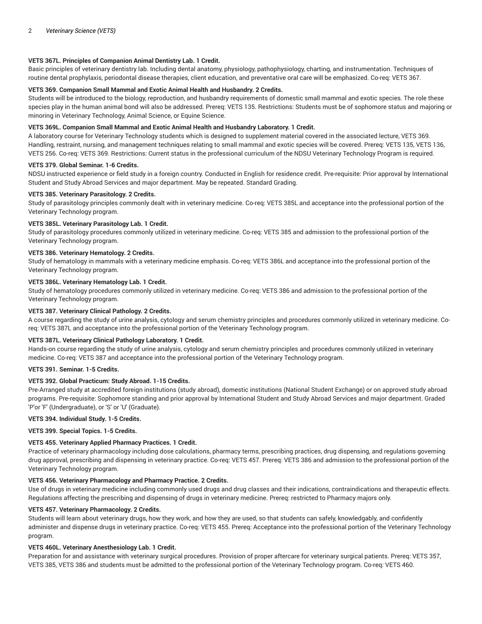## **VETS 367L. Principles of Companion Animal Dentistry Lab. 1 Credit.**

Basic principles of veterinary dentistry lab. Including dental anatomy, physiology, pathophysiology, charting, and instrumentation. Techniques of routine dental prophylaxis, periodontal disease therapies, client education, and preventative oral care will be emphasized. Co-req: VETS 367.

## **VETS 369. Companion Small Mammal and Exotic Animal Health and Husbandry. 2 Credits.**

Students will be introduced to the biology, reproduction, and husbandry requirements of domestic small mammal and exotic species. The role these species play in the human animal bond will also be addressed. Prereq: VETS 135. Restrictions: Students must be of sophomore status and majoring or minoring in Veterinary Technology, Animal Science, or Equine Science.

### **VETS 369L. Companion Small Mammal and Exotic Animal Health and Husbandry Laboratory. 1 Credit.**

A laboratory course for Veterinary Technology students which is designed to supplement material covered in the associated lecture, VETS 369. Handling, restraint, nursing, and management techniques relating to small mammal and exotic species will be covered. Prereq: VETS 135, VETS 136, VETS 256. Co-req: VETS 369. Restrictions: Current status in the professional curriculum of the NDSU Veterinary Technology Program is required.

#### **VETS 379. Global Seminar. 1-6 Credits.**

NDSU instructed experience or field study in a foreign country. Conducted in English for residence credit. Pre-requisite: Prior approval by International Student and Study Abroad Services and major department. May be repeated. Standard Grading.

#### **VETS 385. Veterinary Parasitology. 2 Credits.**

Study of parasitology principles commonly dealt with in veterinary medicine. Co-req: VETS 385L and acceptance into the professional portion of the Veterinary Technology program.

### **VETS 385L. Veterinary Parasitology Lab. 1 Credit.**

Study of parasitology procedures commonly utilized in veterinary medicine. Co-req: VETS 385 and admission to the professional portion of the Veterinary Technology program.

#### **VETS 386. Veterinary Hematology. 2 Credits.**

Study of hematology in mammals with a veterinary medicine emphasis. Co-req: VETS 386L and acceptance into the professional portion of the Veterinary Technology program.

#### **VETS 386L. Veterinary Hematology Lab. 1 Credit.**

Study of hematology procedures commonly utilized in veterinary medicine. Co-req: VETS 386 and admission to the professional portion of the Veterinary Technology program.

## **VETS 387. Veterinary Clinical Pathology. 2 Credits.**

A course regarding the study of urine analysis, cytology and serum chemistry principles and procedures commonly utilized in veterinary medicine. Coreq: VETS 387L and acceptance into the professional portion of the Veterinary Technology program.

## **VETS 387L. Veterinary Clinical Pathology Laboratory. 1 Credit.**

Hands-on course regarding the study of urine analysis, cytology and serum chemistry principles and procedures commonly utilized in veterinary medicine. Co-req: VETS 387 and acceptance into the professional portion of the Veterinary Technology program.

### **VETS 391. Seminar. 1-5 Credits.**

# **VETS 392. Global Practicum: Study Abroad. 1-15 Credits.**

Pre-Arranged study at accredited foreign institutions (study abroad), domestic institutions (National Student Exchange) or on approved study abroad programs. Pre-requisite: Sophomore standing and prior approval by International Student and Study Abroad Services and major department. Graded 'P'or 'F' (Undergraduate), or 'S' or 'U' (Graduate).

## **VETS 394. Individual Study. 1-5 Credits.**

**VETS 399. Special Topics. 1-5 Credits.**

## **VETS 455. Veterinary Applied Pharmacy Practices. 1 Credit.**

Practice of veterinary pharmacology including dose calculations, pharmacy terms, prescribing practices, drug dispensing, and regulations governing drug approval, prescribing and dispensing in veterinary practice. Co-req: VETS 457. Prereq: VETS 386 and admission to the professional portion of the Veterinary Technology program.

## **VETS 456. Veterinary Pharmacology and Pharmacy Practice. 2 Credits.**

Use of drugs in veterinary medicine including commonly used drugs and drug classes and their indications, contraindications and therapeutic effects. Regulations affecting the prescribing and dispensing of drugs in veterinary medicine. Prereq: restricted to Pharmacy majors only.

## **VETS 457. Veterinary Pharmacology. 2 Credits.**

Students will learn about veterinary drugs, how they work, and how they are used, so that students can safely, knowledgably, and confidently administer and dispense drugs in veterinary practice. Co-req: VETS 455. Prereq: Acceptance into the professional portion of the Veterinary Technology program.

## **VETS 460L. Veterinary Anesthesiology Lab. 1 Credit.**

Preparation for and assistance with veterinary surgical procedures. Provision of proper aftercare for veterinary surgical patients. Prereq: VETS 357, VETS 385, VETS 386 and students must be admitted to the professional portion of the Veterinary Technology program. Co-req: VETS 460.